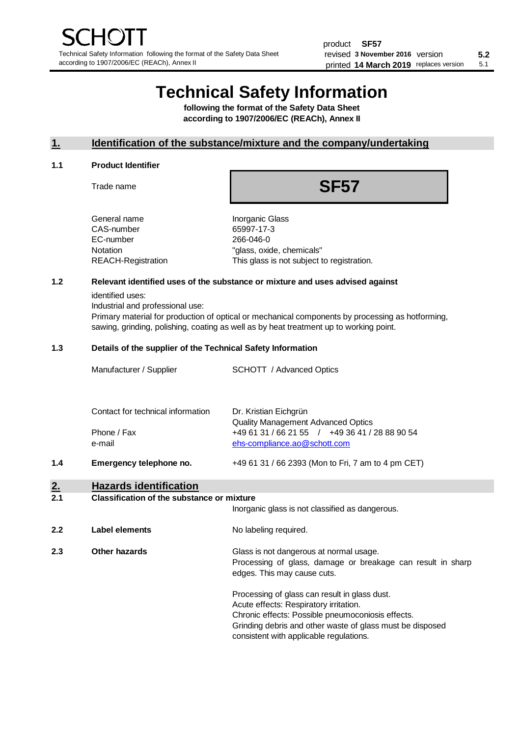# **Technical Safety Information**

**following the format of the Safety Data Sheet according to 1907/2006/EC (REACh), Annex II**

# **1. Identification of the substance/mixture and the company/undertaking**

#### **1.1 Product Identifier**

Trade name

# **SF57**

| General name       |
|--------------------|
| CAS-number         |
| EC-number          |
| Notation           |
| REACH-Registration |
|                    |

**Inorganic Glass** 65997-17-3 266-046-0 "glass, oxide, chemicals" This glass is not subject to registration.

# **1.2 Relevant identified uses of the substance or mixture and uses advised against**

identified uses:

Industrial and professional use:

Primary material for production of optical or mechanical components by processing as hotforming, sawing, grinding, polishing, coating as well as by heat treatment up to working point.

#### **1.3 Details of the supplier of the Technical Safety Information**

|     | Manufacturer / Supplier           | <b>SCHOTT</b> / Advanced Optics                                    |
|-----|-----------------------------------|--------------------------------------------------------------------|
|     | Contact for technical information | Dr. Kristian Eichgrün<br><b>Quality Management Advanced Optics</b> |
|     | Phone / Fax                       | +49 61 31 / 66 21 55 / +49 36 41 / 28 88 90 54                     |
|     | e-mail                            | ehs-compliance.ao@schott.com                                       |
| 1.4 | Emergency telephone no.           | +49 61 31 / 66 2393 (Mon to Fri, 7 am to 4 pm CET)                 |

# **2. Hazards identification**

#### **2.1 Classification of the substance or mixture**

|     |                | Inorganic glass is not classified as dangerous.                                                                                                                                                                                                      |
|-----|----------------|------------------------------------------------------------------------------------------------------------------------------------------------------------------------------------------------------------------------------------------------------|
| 2.2 | Label elements | No labeling required.                                                                                                                                                                                                                                |
| 2.3 | Other hazards  | Glass is not dangerous at normal usage.<br>Processing of glass, damage or breakage can result in sharp<br>edges. This may cause cuts.                                                                                                                |
|     |                | Processing of glass can result in glass dust.<br>Acute effects: Respiratory irritation.<br>Chronic effects: Possible pneumoconiosis effects.<br>Grinding debris and other waste of glass must be disposed<br>consistent with applicable regulations. |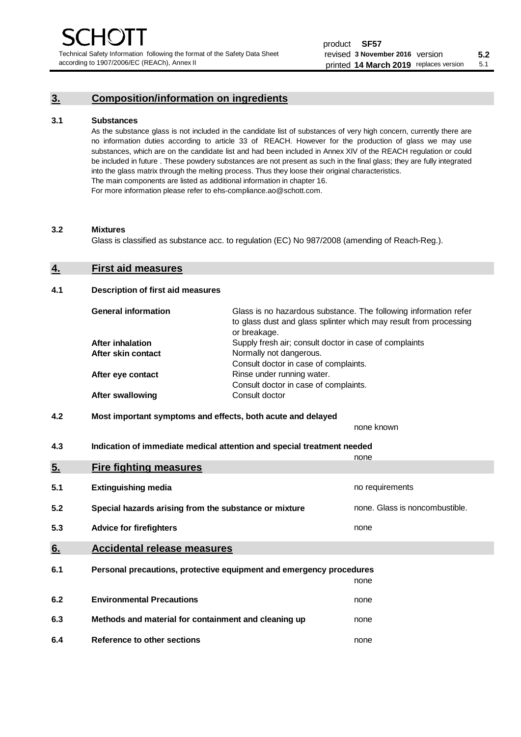Technical Safety Information following the format of the Safety Data Sheet according to 1907/2006/EC (REACh), Annex II

# **3. Composition/information on ingredients**

#### **3.1 Substances**

As the substance glass is not included in the candidate list of substances of very high concern, currently there are no information duties according to article 33 of REACH. However for the production of glass we may use substances, which are on the candidate list and had been included in Annex XIV of the REACH regulation or could be included in future . These powdery substances are not present as such in the final glass; they are fully integrated into the glass matrix through the melting process. Thus they loose their original characteristics. The main components are listed as additional information in chapter 16. For more information please refer to ehs-compliance.ao@schott.com.

#### **3.2 Mixtures**

Glass is classified as substance acc. to regulation (EC) No 987/2008 (amending of Reach-Reg.).

## **4. First aid measures**

#### **4.1 Description of first aid measures**

| <b>General information</b> | Glass is no hazardous substance. The following information refer<br>to glass dust and glass splinter which may result from processing<br>or breakage. |
|----------------------------|-------------------------------------------------------------------------------------------------------------------------------------------------------|
| <b>After inhalation</b>    | Supply fresh air; consult doctor in case of complaints                                                                                                |
| After skin contact         | Normally not dangerous.                                                                                                                               |
|                            | Consult doctor in case of complaints.                                                                                                                 |
| After eye contact          | Rinse under running water.                                                                                                                            |
|                            | Consult doctor in case of complaints.                                                                                                                 |
| <b>After swallowing</b>    | Consult doctor                                                                                                                                        |

# **4.2 Most important symptoms and effects, both acute and delayed**

none known **4.3 Indication of immediate medical attention and special treatment needed** 

|     |                                                                     | none                           |
|-----|---------------------------------------------------------------------|--------------------------------|
| 5.  | <b>Fire fighting measures</b>                                       |                                |
| 5.1 | <b>Extinguishing media</b>                                          | no requirements                |
| 5.2 | Special hazards arising from the substance or mixture               | none. Glass is noncombustible. |
| 5.3 | <b>Advice for firefighters</b>                                      | none                           |
| 6.  | <b>Accidental release measures</b>                                  |                                |
| 6.1 | Personal precautions, protective equipment and emergency procedures |                                |
|     |                                                                     | none                           |
| 6.2 | <b>Environmental Precautions</b>                                    | none                           |
| 6.3 | Methods and material for containment and cleaning up                | none                           |
| 6.4 | Reference to other sections                                         | none                           |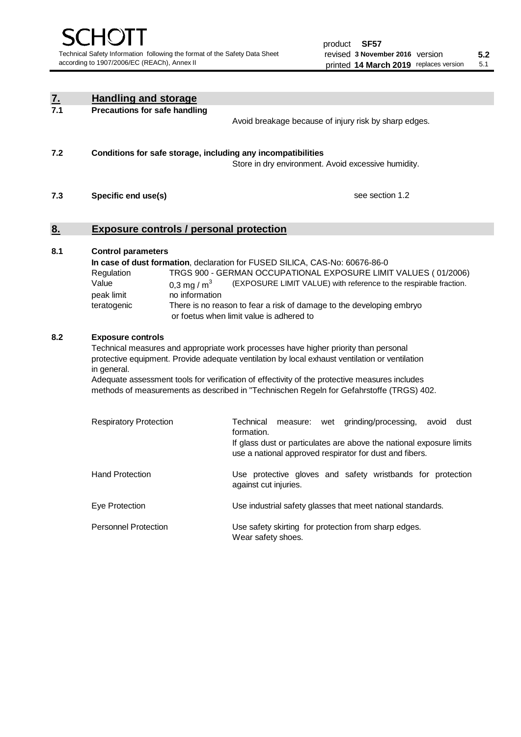| $\underline{\mathbf{7}}$ . | <b>Handling and storage</b>                                                                                      |                                                                                                                                                                                                                                                                                                                                                                                     |
|----------------------------|------------------------------------------------------------------------------------------------------------------|-------------------------------------------------------------------------------------------------------------------------------------------------------------------------------------------------------------------------------------------------------------------------------------------------------------------------------------------------------------------------------------|
| 7.1                        | <b>Precautions for safe handling</b>                                                                             | Avoid breakage because of injury risk by sharp edges.                                                                                                                                                                                                                                                                                                                               |
| 7.2                        | Conditions for safe storage, including any incompatibilities                                                     | Store in dry environment. Avoid excessive humidity.                                                                                                                                                                                                                                                                                                                                 |
| 7.3                        | Specific end use(s)                                                                                              | see section 1.2                                                                                                                                                                                                                                                                                                                                                                     |
| 8.                         | <b>Exposure controls / personal protection</b>                                                                   |                                                                                                                                                                                                                                                                                                                                                                                     |
| 8.1                        | <b>Control parameters</b><br>Regulation<br>Value<br>0.3 mg / $m3$<br>peak limit<br>no information<br>teratogenic | In case of dust formation, declaration for FUSED SILICA, CAS-No: 60676-86-0<br>TRGS 900 - GERMAN OCCUPATIONAL EXPOSURE LIMIT VALUES (01/2006)<br>(EXPOSURE LIMIT VALUE) with reference to the respirable fraction.<br>There is no reason to fear a risk of damage to the developing embryo<br>or foetus when limit value is adhered to                                              |
| 8.2                        | <b>Exposure controls</b><br>in general.                                                                          | Technical measures and appropriate work processes have higher priority than personal<br>protective equipment. Provide adequate ventilation by local exhaust ventilation or ventilation<br>Adequate assessment tools for verification of effectivity of the protective measures includes<br>methods of measurements as described in "Technischen Regeln for Gefahrstoffe (TRGS) 402. |
|                            | <b>Respiratory Protection</b>                                                                                    | Technical<br>grinding/processing,<br>measure: wet<br>avoid<br>dust<br>formation.<br>If glass dust or particulates are above the national exposure limits<br>use a national approved respirator for dust and fibers.                                                                                                                                                                 |
|                            | <b>Hand Protection</b>                                                                                           | Use protective gloves and safety wristbands for protection<br>against cut injuries.                                                                                                                                                                                                                                                                                                 |
|                            | Eye Protection                                                                                                   | Use industrial safety glasses that meet national standards.                                                                                                                                                                                                                                                                                                                         |
|                            | <b>Personnel Protection</b>                                                                                      | Use safety skirting for protection from sharp edges.<br>Wear safety shoes.                                                                                                                                                                                                                                                                                                          |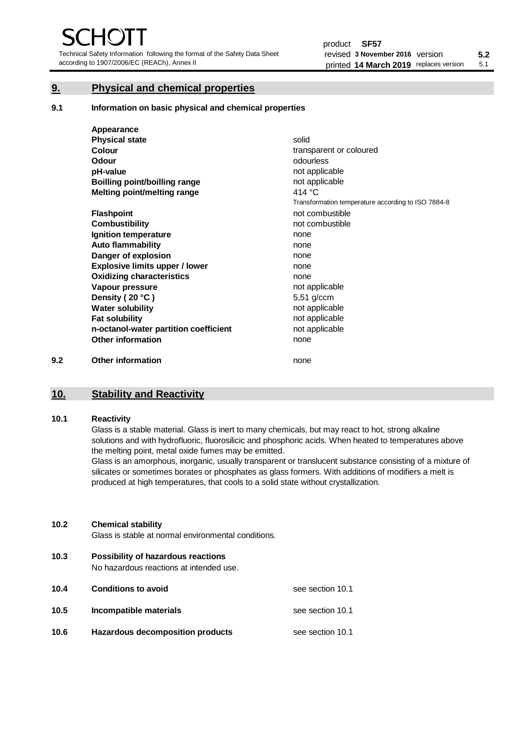Technical Safety Information following the format of the Safety Data Sheet according to 1907/2006/EC (REACh), Annex II

# **9. Physical and chemical properties**

**9.1 Information on basic physical and chemical properties**

|     | Appearance                            |                                                    |
|-----|---------------------------------------|----------------------------------------------------|
|     | <b>Physical state</b>                 | solid                                              |
|     | <b>Colour</b>                         | transparent or coloured                            |
|     | Odour                                 | odourless                                          |
|     | pH-value                              | not applicable                                     |
|     | <b>Boilling point/boilling range</b>  | not applicable                                     |
|     | Melting point/melting range           | 414 $\degree$ C                                    |
|     |                                       | Transformation temperature according to ISO 7884-8 |
|     | <b>Flashpoint</b>                     | not combustible                                    |
|     | <b>Combustibility</b>                 | not combustible                                    |
|     | Ignition temperature                  | none                                               |
|     | <b>Auto flammability</b>              | none                                               |
|     | Danger of explosion                   | none                                               |
|     | <b>Explosive limits upper / lower</b> | none                                               |
|     | <b>Oxidizing characteristics</b>      | none                                               |
|     | Vapour pressure                       | not applicable                                     |
|     | Density (20 °C)                       | 5,51 g/ccm                                         |
|     | <b>Water solubility</b>               | not applicable                                     |
|     | <b>Fat solubility</b>                 | not applicable                                     |
|     | n-octanol-water partition coefficient | not applicable                                     |
|     | <b>Other information</b>              | none                                               |
| 9.2 | <b>Other information</b>              | none                                               |

# **10. Stability and Reactivity**

### **10.1 Reactivity**

Glass is a stable material. Glass is inert to many chemicals, but may react to hot, strong alkaline solutions and with hydrofluoric, fluorosilicic and phosphoric acids. When heated to temperatures above the melting point, metal oxide fumes may be emitted.

Glass is an amorphous, inorganic, usually transparent or translucent substance consisting of a mixture of silicates or sometimes borates or phosphates as glass formers. With additions of modifiers a melt is produced at high temperatures, that cools to a solid state without crystallization.

### **10.2 Chemical stability**

Glass is stable at normal environmental conditions.

**10.3 Possibility of hazardous reactions** 

No hazardous reactions at intended use.

| 10.4 | <b>Conditions to avoid</b>       | see section 10.1 |
|------|----------------------------------|------------------|
| 10.5 | Incompatible materials           | see section 10.1 |
| 10.6 | Hazardous decomposition products | see section 10.1 |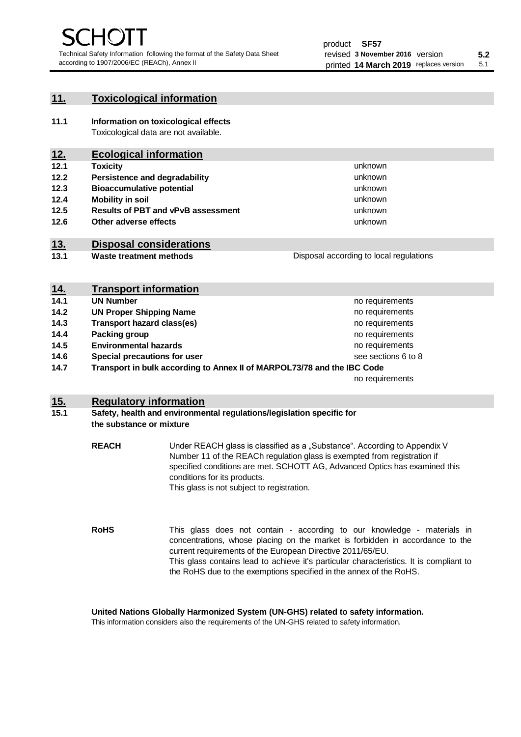unknown unknown unknown

unknown unknown unknown

Disposal according to local regulations

# **11. Toxicological information**

**11.1 Information on toxicological effects** Toxicological data are not available.

# **12. Ecological information**

- **12.1 Toxicity**
- **12.2 Persistence and degradability**
- **12.3 Bioaccumulative potential**
- **12.4 Mobility in soil**
- **12.5 Results of PBT and vPvB assessment**
- **12.6 Other adverse effects**

# **13. Disposal considerations**

**13.1 Waste treatment methods**

| <u>14.</u> | <b>Transport information</b>                                            |                     |
|------------|-------------------------------------------------------------------------|---------------------|
| 14.1       | <b>UN Number</b>                                                        | no requirements     |
| 14.2       | <b>UN Proper Shipping Name</b>                                          | no requirements     |
| 14.3       | <b>Transport hazard class(es)</b>                                       | no requirements     |
| 14.4       | Packing group                                                           | no requirements     |
| 14.5       | <b>Environmental hazards</b>                                            | no requirements     |
| 14.6       | Special precautions for user                                            | see sections 6 to 8 |
| 14.7       | Transport in bulk according to Annex II of MARPOL73/78 and the IBC Code |                     |
|            |                                                                         | no requirements     |

# **15. Regulatory information**

### **15.1 Safety, health and environmental regulations/legislation specific for the substance or mixture**

**REACH** Under REACH glass is classified as a "Substance". According to Appendix V Number 11 of the REACh regulation glass is exempted from registration if specified conditions are met. SCHOTT AG, Advanced Optics has examined this conditions for its products. This glass is not subject to registration.

**RoHS** This glass does not contain - according to our knowledge - materials in concentrations, whose placing on the market is forbidden in accordance to the current requirements of the European Directive 2011/65/EU. This glass contains lead to achieve it's particular characteristics. It is compliant to the RoHS due to the exemptions specified in the annex of the RoHS.

**United Nations Globally Harmonized System (UN-GHS) related to safety information.**

This information considers also the requirements of the UN-GHS related to safety information.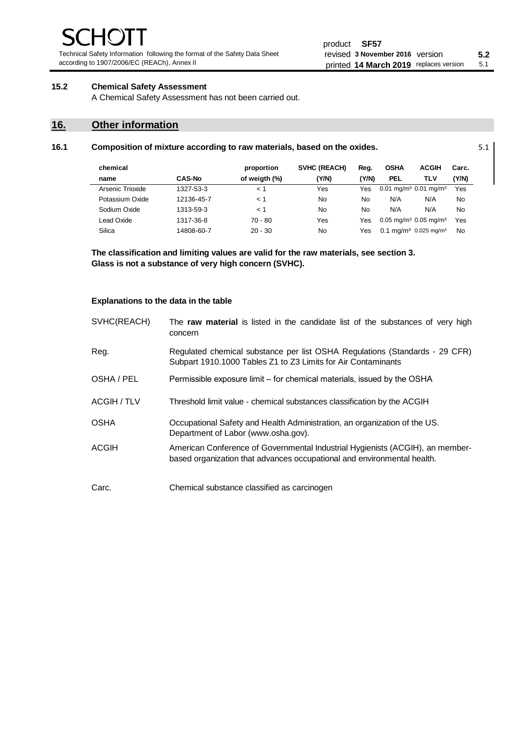Technical Safety Information following the format of the Safety Data Sheet according to 1907/2006/EC (REACh), Annex II

# **15.2 Chemical Safety Assessment**

A Chemical Safety Assessment has not been carried out.

# **16. Other information**

| 16.1 | Composition of mixture according to raw materials, based on the oxides. |               |               |              |       |             |                                                 |           | 5.1 |
|------|-------------------------------------------------------------------------|---------------|---------------|--------------|-------|-------------|-------------------------------------------------|-----------|-----|
|      | chemical                                                                |               | proportion    | SVHC (REACH) | Reg.  | <b>OSHA</b> | <b>ACGIH</b>                                    | Carc.     |     |
|      | name                                                                    | <b>CAS-No</b> | of weigth (%) | (Y/N)        | (Y/N) | <b>PEL</b>  | TLV                                             | (Y/N)     |     |
|      | Arsenic Trioxide                                                        | 1327-53-3     | $\leq 1$      | Yes          | Yes   |             | $0.01$ mg/m <sup>3</sup> 0.01 mg/m <sup>3</sup> | Yes       |     |
|      | Potassium Oxide                                                         | 12136-45-7    | < 1           | No           | No    | N/A         | N/A                                             | <b>No</b> |     |
|      | Sodium Oxide                                                            | 1313-59-3     | < 1           | No           | No    | N/A         | N/A                                             | <b>No</b> |     |
|      | Lead Oxide                                                              | 1317-36-8     | $70 - 80$     | Yes          | Yes   |             | $0.05$ mg/m <sup>3</sup> 0.05 mg/m <sup>3</sup> | Yes       |     |
|      | Silica                                                                  | 14808-60-7    | $20 - 30$     | No           | Yes   |             | $0.1 \text{ ma/m}^3$ 0.025 mg/m <sup>3</sup>    | <b>No</b> |     |

**The classification and limiting values are valid for the raw materials, see section 3. Glass is not a substance of very high concern (SVHC).**

#### **Explanations to the data in the table**

| SVHC(REACH) | The raw material is listed in the candidate list of the substances of very high<br>concern                                                               |
|-------------|----------------------------------------------------------------------------------------------------------------------------------------------------------|
| Reg.        | Regulated chemical substance per list OSHA Regulations (Standards - 29 CFR)<br>Subpart 1910.1000 Tables Z1 to Z3 Limits for Air Contaminants             |
| OSHA / PEL  | Permissible exposure limit – for chemical materials, issued by the OSHA                                                                                  |
| ACGIH / TLV | Threshold limit value - chemical substances classification by the ACGIH                                                                                  |
| <b>OSHA</b> | Occupational Safety and Health Administration, an organization of the US.<br>Department of Labor (www.osha.gov).                                         |
| ACGIH       | American Conference of Governmental Industrial Hygienists (ACGIH), an member-<br>based organization that advances occupational and environmental health. |
| Carc.       | Chemical substance classified as carcinogen                                                                                                              |